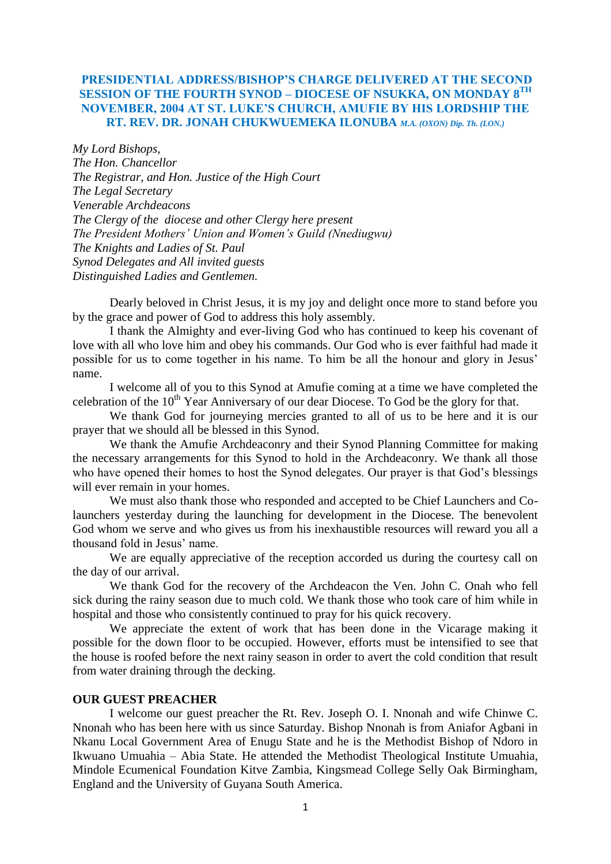# **PRESIDENTIAL ADDRESS/BISHOP'S CHARGE DELIVERED AT THE SECOND SESSION OF THE FOURTH SYNOD – DIOCESE OF NSUKKA, ON MONDAY 8TH NOVEMBER, 2004 AT ST. LUKE'S CHURCH, AMUFIE BY HIS LORDSHIP THE RT. REV. DR. JONAH CHUKWUEMEKA ILONUBA** *M.A. (OXON) Dip. Th. (LON.)*

*My Lord Bishops, The Hon. Chancellor The Registrar, and Hon. Justice of the High Court The Legal Secretary Venerable Archdeacons The Clergy of the diocese and other Clergy here present The President Mothers' Union and Women's Guild (Nnediugwu) The Knights and Ladies of St. Paul Synod Delegates and All invited guests Distinguished Ladies and Gentlemen.*

Dearly beloved in Christ Jesus, it is my joy and delight once more to stand before you by the grace and power of God to address this holy assembly.

I thank the Almighty and ever-living God who has continued to keep his covenant of love with all who love him and obey his commands. Our God who is ever faithful had made it possible for us to come together in his name. To him be all the honour and glory in Jesus" name.

I welcome all of you to this Synod at Amufie coming at a time we have completed the celebration of the  $10^{th}$  Year Anniversary of our dear Diocese. To God be the glory for that.

We thank God for journeying mercies granted to all of us to be here and it is our prayer that we should all be blessed in this Synod.

We thank the Amufie Archdeaconry and their Synod Planning Committee for making the necessary arrangements for this Synod to hold in the Archdeaconry. We thank all those who have opened their homes to host the Synod delegates. Our prayer is that God's blessings will ever remain in your homes.

We must also thank those who responded and accepted to be Chief Launchers and Colaunchers yesterday during the launching for development in the Diocese. The benevolent God whom we serve and who gives us from his inexhaustible resources will reward you all a thousand fold in Jesus' name.

We are equally appreciative of the reception accorded us during the courtesy call on the day of our arrival.

We thank God for the recovery of the Archdeacon the Ven. John C. Onah who fell sick during the rainy season due to much cold. We thank those who took care of him while in hospital and those who consistently continued to pray for his quick recovery.

We appreciate the extent of work that has been done in the Vicarage making it possible for the down floor to be occupied. However, efforts must be intensified to see that the house is roofed before the next rainy season in order to avert the cold condition that result from water draining through the decking.

#### **OUR GUEST PREACHER**

I welcome our guest preacher the Rt. Rev. Joseph O. I. Nnonah and wife Chinwe C. Nnonah who has been here with us since Saturday. Bishop Nnonah is from Aniafor Agbani in Nkanu Local Government Area of Enugu State and he is the Methodist Bishop of Ndoro in Ikwuano Umuahia – Abia State. He attended the Methodist Theological Institute Umuahia, Mindole Ecumenical Foundation Kitve Zambia, Kingsmead College Selly Oak Birmingham, England and the University of Guyana South America.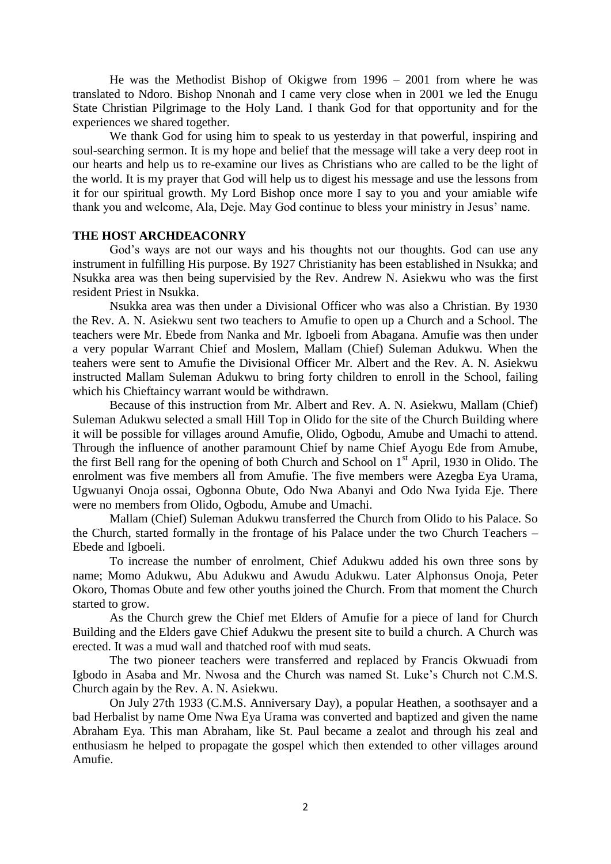He was the Methodist Bishop of Okigwe from 1996 – 2001 from where he was translated to Ndoro. Bishop Nnonah and I came very close when in 2001 we led the Enugu State Christian Pilgrimage to the Holy Land. I thank God for that opportunity and for the experiences we shared together.

We thank God for using him to speak to us yesterday in that powerful, inspiring and soul-searching sermon. It is my hope and belief that the message will take a very deep root in our hearts and help us to re-examine our lives as Christians who are called to be the light of the world. It is my prayer that God will help us to digest his message and use the lessons from it for our spiritual growth. My Lord Bishop once more I say to you and your amiable wife thank you and welcome, Ala, Deje. May God continue to bless your ministry in Jesus" name.

#### **THE HOST ARCHDEACONRY**

God's ways are not our ways and his thoughts not our thoughts. God can use any instrument in fulfilling His purpose. By 1927 Christianity has been established in Nsukka; and Nsukka area was then being supervisied by the Rev. Andrew N. Asiekwu who was the first resident Priest in Nsukka.

Nsukka area was then under a Divisional Officer who was also a Christian. By 1930 the Rev. A. N. Asiekwu sent two teachers to Amufie to open up a Church and a School. The teachers were Mr. Ebede from Nanka and Mr. Igboeli from Abagana. Amufie was then under a very popular Warrant Chief and Moslem, Mallam (Chief) Suleman Adukwu. When the teahers were sent to Amufie the Divisional Officer Mr. Albert and the Rev. A. N. Asiekwu instructed Mallam Suleman Adukwu to bring forty children to enroll in the School, failing which his Chieftaincy warrant would be withdrawn.

Because of this instruction from Mr. Albert and Rev. A. N. Asiekwu, Mallam (Chief) Suleman Adukwu selected a small Hill Top in Olido for the site of the Church Building where it will be possible for villages around Amufie, Olido, Ogbodu, Amube and Umachi to attend. Through the influence of another paramount Chief by name Chief Ayogu Ede from Amube, the first Bell rang for the opening of both Church and School on  $1<sup>st</sup>$  April, 1930 in Olido. The enrolment was five members all from Amufie. The five members were Azegba Eya Urama, Ugwuanyi Onoja ossai, Ogbonna Obute, Odo Nwa Abanyi and Odo Nwa Iyida Eje. There were no members from Olido, Ogbodu, Amube and Umachi.

Mallam (Chief) Suleman Adukwu transferred the Church from Olido to his Palace. So the Church, started formally in the frontage of his Palace under the two Church Teachers – Ebede and Igboeli.

To increase the number of enrolment, Chief Adukwu added his own three sons by name; Momo Adukwu, Abu Adukwu and Awudu Adukwu. Later Alphonsus Onoja, Peter Okoro, Thomas Obute and few other youths joined the Church. From that moment the Church started to grow.

As the Church grew the Chief met Elders of Amufie for a piece of land for Church Building and the Elders gave Chief Adukwu the present site to build a church. A Church was erected. It was a mud wall and thatched roof with mud seats.

The two pioneer teachers were transferred and replaced by Francis Okwuadi from Igbodo in Asaba and Mr. Nwosa and the Church was named St. Luke"s Church not C.M.S. Church again by the Rev. A. N. Asiekwu.

On July 27th 1933 (C.M.S. Anniversary Day), a popular Heathen, a soothsayer and a bad Herbalist by name Ome Nwa Eya Urama was converted and baptized and given the name Abraham Eya. This man Abraham, like St. Paul became a zealot and through his zeal and enthusiasm he helped to propagate the gospel which then extended to other villages around Amufie.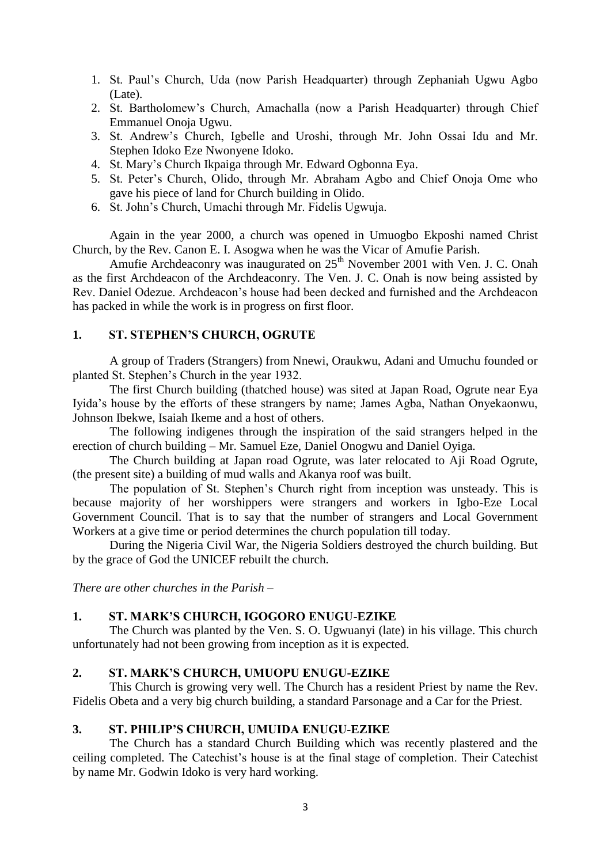- 1. St. Paul"s Church, Uda (now Parish Headquarter) through Zephaniah Ugwu Agbo (Late).
- 2. St. Bartholomew"s Church, Amachalla (now a Parish Headquarter) through Chief Emmanuel Onoja Ugwu.
- 3. St. Andrew"s Church, Igbelle and Uroshi, through Mr. John Ossai Idu and Mr. Stephen Idoko Eze Nwonyene Idoko.
- 4. St. Mary"s Church Ikpaiga through Mr. Edward Ogbonna Eya.
- 5. St. Peter"s Church, Olido, through Mr. Abraham Agbo and Chief Onoja Ome who gave his piece of land for Church building in Olido.
- 6. St. John"s Church, Umachi through Mr. Fidelis Ugwuja.

Again in the year 2000, a church was opened in Umuogbo Ekposhi named Christ Church, by the Rev. Canon E. I. Asogwa when he was the Vicar of Amufie Parish.

Amufie Archdeaconry was inaugurated on  $25<sup>th</sup>$  November 2001 with Ven. J. C. Onah as the first Archdeacon of the Archdeaconry. The Ven. J. C. Onah is now being assisted by Rev. Daniel Odezue. Archdeacon"s house had been decked and furnished and the Archdeacon has packed in while the work is in progress on first floor.

# **1. ST. STEPHEN'S CHURCH, OGRUTE**

A group of Traders (Strangers) from Nnewi, Oraukwu, Adani and Umuchu founded or planted St. Stephen"s Church in the year 1932.

The first Church building (thatched house) was sited at Japan Road, Ogrute near Eya Iyida"s house by the efforts of these strangers by name; James Agba, Nathan Onyekaonwu, Johnson Ibekwe, Isaiah Ikeme and a host of others.

The following indigenes through the inspiration of the said strangers helped in the erection of church building – Mr. Samuel Eze, Daniel Onogwu and Daniel Oyiga.

The Church building at Japan road Ogrute, was later relocated to Aji Road Ogrute, (the present site) a building of mud walls and Akanya roof was built.

The population of St. Stephen's Church right from inception was unsteady. This is because majority of her worshippers were strangers and workers in Igbo-Eze Local Government Council. That is to say that the number of strangers and Local Government Workers at a give time or period determines the church population till today.

During the Nigeria Civil War, the Nigeria Soldiers destroyed the church building. But by the grace of God the UNICEF rebuilt the church.

*There are other churches in the Parish –*

### **1. ST. MARK'S CHURCH, IGOGORO ENUGU-EZIKE**

The Church was planted by the Ven. S. O. Ugwuanyi (late) in his village. This church unfortunately had not been growing from inception as it is expected.

# **2. ST. MARK'S CHURCH, UMUOPU ENUGU-EZIKE**

This Church is growing very well. The Church has a resident Priest by name the Rev. Fidelis Obeta and a very big church building, a standard Parsonage and a Car for the Priest.

## **3. ST. PHILIP'S CHURCH, UMUIDA ENUGU-EZIKE**

The Church has a standard Church Building which was recently plastered and the ceiling completed. The Catechist"s house is at the final stage of completion. Their Catechist by name Mr. Godwin Idoko is very hard working.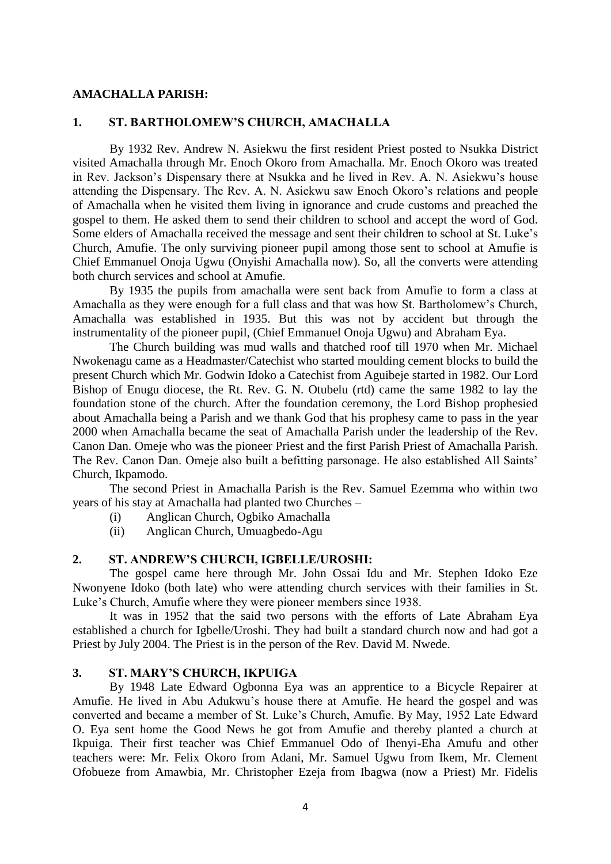#### **AMACHALLA PARISH:**

## **1. ST. BARTHOLOMEW'S CHURCH, AMACHALLA**

By 1932 Rev. Andrew N. Asiekwu the first resident Priest posted to Nsukka District visited Amachalla through Mr. Enoch Okoro from Amachalla. Mr. Enoch Okoro was treated in Rev. Jackson"s Dispensary there at Nsukka and he lived in Rev. A. N. Asiekwu"s house attending the Dispensary. The Rev. A. N. Asiekwu saw Enoch Okoro"s relations and people of Amachalla when he visited them living in ignorance and crude customs and preached the gospel to them. He asked them to send their children to school and accept the word of God. Some elders of Amachalla received the message and sent their children to school at St. Luke"s Church, Amufie. The only surviving pioneer pupil among those sent to school at Amufie is Chief Emmanuel Onoja Ugwu (Onyishi Amachalla now). So, all the converts were attending both church services and school at Amufie.

By 1935 the pupils from amachalla were sent back from Amufie to form a class at Amachalla as they were enough for a full class and that was how St. Bartholomew"s Church, Amachalla was established in 1935. But this was not by accident but through the instrumentality of the pioneer pupil, (Chief Emmanuel Onoja Ugwu) and Abraham Eya.

The Church building was mud walls and thatched roof till 1970 when Mr. Michael Nwokenagu came as a Headmaster/Catechist who started moulding cement blocks to build the present Church which Mr. Godwin Idoko a Catechist from Aguibeje started in 1982. Our Lord Bishop of Enugu diocese, the Rt. Rev. G. N. Otubelu (rtd) came the same 1982 to lay the foundation stone of the church. After the foundation ceremony, the Lord Bishop prophesied about Amachalla being a Parish and we thank God that his prophesy came to pass in the year 2000 when Amachalla became the seat of Amachalla Parish under the leadership of the Rev. Canon Dan. Omeje who was the pioneer Priest and the first Parish Priest of Amachalla Parish. The Rev. Canon Dan. Omeje also built a befitting parsonage. He also established All Saints" Church, Ikpamodo.

The second Priest in Amachalla Parish is the Rev. Samuel Ezemma who within two years of his stay at Amachalla had planted two Churches –

- (i) Anglican Church, Ogbiko Amachalla
- (ii) Anglican Church, Umuagbedo-Agu

# **2. ST. ANDREW'S CHURCH, IGBELLE/UROSHI:**

The gospel came here through Mr. John Ossai Idu and Mr. Stephen Idoko Eze Nwonyene Idoko (both late) who were attending church services with their families in St. Luke"s Church, Amufie where they were pioneer members since 1938.

It was in 1952 that the said two persons with the efforts of Late Abraham Eya established a church for Igbelle/Uroshi. They had built a standard church now and had got a Priest by July 2004. The Priest is in the person of the Rev. David M. Nwede.

# **3. ST. MARY'S CHURCH, IKPUIGA**

By 1948 Late Edward Ogbonna Eya was an apprentice to a Bicycle Repairer at Amufie. He lived in Abu Adukwu"s house there at Amufie. He heard the gospel and was converted and became a member of St. Luke"s Church, Amufie. By May, 1952 Late Edward O. Eya sent home the Good News he got from Amufie and thereby planted a church at Ikpuiga. Their first teacher was Chief Emmanuel Odo of Ihenyi-Eha Amufu and other teachers were: Mr. Felix Okoro from Adani, Mr. Samuel Ugwu from Ikem, Mr. Clement Ofobueze from Amawbia, Mr. Christopher Ezeja from Ibagwa (now a Priest) Mr. Fidelis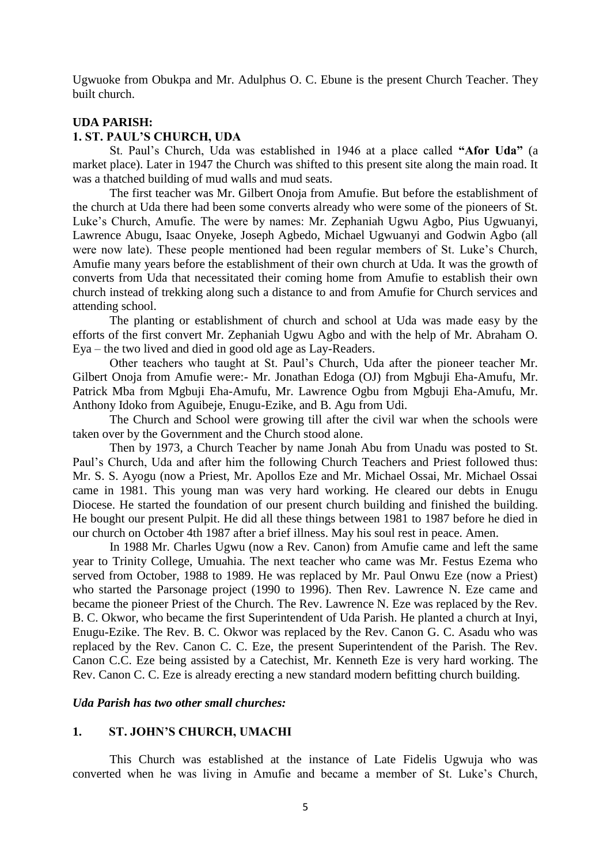Ugwuoke from Obukpa and Mr. Adulphus O. C. Ebune is the present Church Teacher. They built church.

## **UDA PARISH:**

#### **1. ST. PAUL'S CHURCH, UDA**

St. Paul"s Church, Uda was established in 1946 at a place called **"Afor Uda"** (a market place). Later in 1947 the Church was shifted to this present site along the main road. It was a thatched building of mud walls and mud seats.

The first teacher was Mr. Gilbert Onoja from Amufie. But before the establishment of the church at Uda there had been some converts already who were some of the pioneers of St. Luke"s Church, Amufie. The were by names: Mr. Zephaniah Ugwu Agbo, Pius Ugwuanyi, Lawrence Abugu, Isaac Onyeke, Joseph Agbedo, Michael Ugwuanyi and Godwin Agbo (all were now late). These people mentioned had been regular members of St. Luke's Church, Amufie many years before the establishment of their own church at Uda. It was the growth of converts from Uda that necessitated their coming home from Amufie to establish their own church instead of trekking along such a distance to and from Amufie for Church services and attending school.

The planting or establishment of church and school at Uda was made easy by the efforts of the first convert Mr. Zephaniah Ugwu Agbo and with the help of Mr. Abraham O. Eya – the two lived and died in good old age as Lay-Readers.

Other teachers who taught at St. Paul"s Church, Uda after the pioneer teacher Mr. Gilbert Onoja from Amufie were:- Mr. Jonathan Edoga (OJ) from Mgbuji Eha-Amufu, Mr. Patrick Mba from Mgbuji Eha-Amufu, Mr. Lawrence Ogbu from Mgbuji Eha-Amufu, Mr. Anthony Idoko from Aguibeje, Enugu-Ezike, and B. Agu from Udi.

The Church and School were growing till after the civil war when the schools were taken over by the Government and the Church stood alone.

Then by 1973, a Church Teacher by name Jonah Abu from Unadu was posted to St. Paul"s Church, Uda and after him the following Church Teachers and Priest followed thus: Mr. S. S. Ayogu (now a Priest, Mr. Apollos Eze and Mr. Michael Ossai, Mr. Michael Ossai came in 1981. This young man was very hard working. He cleared our debts in Enugu Diocese. He started the foundation of our present church building and finished the building. He bought our present Pulpit. He did all these things between 1981 to 1987 before he died in our church on October 4th 1987 after a brief illness. May his soul rest in peace. Amen.

In 1988 Mr. Charles Ugwu (now a Rev. Canon) from Amufie came and left the same year to Trinity College, Umuahia. The next teacher who came was Mr. Festus Ezema who served from October, 1988 to 1989. He was replaced by Mr. Paul Onwu Eze (now a Priest) who started the Parsonage project (1990 to 1996). Then Rev. Lawrence N. Eze came and became the pioneer Priest of the Church. The Rev. Lawrence N. Eze was replaced by the Rev. B. C. Okwor, who became the first Superintendent of Uda Parish. He planted a church at Inyi, Enugu-Ezike. The Rev. B. C. Okwor was replaced by the Rev. Canon G. C. Asadu who was replaced by the Rev. Canon C. C. Eze, the present Superintendent of the Parish. The Rev. Canon C.C. Eze being assisted by a Catechist, Mr. Kenneth Eze is very hard working. The Rev. Canon C. C. Eze is already erecting a new standard modern befitting church building.

### *Uda Parish has two other small churches:*

#### **1. ST. JOHN'S CHURCH, UMACHI**

This Church was established at the instance of Late Fidelis Ugwuja who was converted when he was living in Amufie and became a member of St. Luke's Church,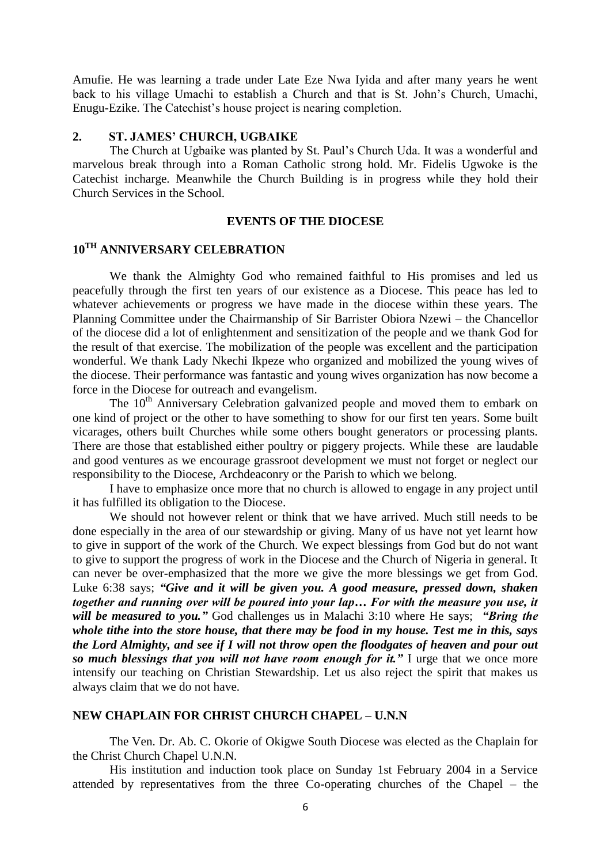Amufie. He was learning a trade under Late Eze Nwa Iyida and after many years he went back to his village Umachi to establish a Church and that is St. John"s Church, Umachi, Enugu-Ezike. The Catechist's house project is nearing completion.

### **2. ST. JAMES' CHURCH, UGBAIKE**

The Church at Ugbaike was planted by St. Paul"s Church Uda. It was a wonderful and marvelous break through into a Roman Catholic strong hold. Mr. Fidelis Ugwoke is the Catechist incharge. Meanwhile the Church Building is in progress while they hold their Church Services in the School.

#### **EVENTS OF THE DIOCESE**

# **10TH ANNIVERSARY CELEBRATION**

We thank the Almighty God who remained faithful to His promises and led us peacefully through the first ten years of our existence as a Diocese. This peace has led to whatever achievements or progress we have made in the diocese within these years. The Planning Committee under the Chairmanship of Sir Barrister Obiora Nzewi – the Chancellor of the diocese did a lot of enlightenment and sensitization of the people and we thank God for the result of that exercise. The mobilization of the people was excellent and the participation wonderful. We thank Lady Nkechi Ikpeze who organized and mobilized the young wives of the diocese. Their performance was fantastic and young wives organization has now become a force in the Diocese for outreach and evangelism.

The 10<sup>th</sup> Anniversary Celebration galvanized people and moved them to embark on one kind of project or the other to have something to show for our first ten years. Some built vicarages, others built Churches while some others bought generators or processing plants. There are those that established either poultry or piggery projects. While these are laudable and good ventures as we encourage grassroot development we must not forget or neglect our responsibility to the Diocese, Archdeaconry or the Parish to which we belong.

I have to emphasize once more that no church is allowed to engage in any project until it has fulfilled its obligation to the Diocese.

We should not however relent or think that we have arrived. Much still needs to be done especially in the area of our stewardship or giving. Many of us have not yet learnt how to give in support of the work of the Church. We expect blessings from God but do not want to give to support the progress of work in the Diocese and the Church of Nigeria in general. It can never be over-emphasized that the more we give the more blessings we get from God. Luke 6:38 says; *"Give and it will be given you. A good measure, pressed down, shaken together and running over will be poured into your lap… For with the measure you use, it will be measured to you."* God challenges us in Malachi 3:10 where He says; *"Bring the whole tithe into the store house, that there may be food in my house. Test me in this, says the Lord Almighty, and see if I will not throw open the floodgates of heaven and pour out so much blessings that you will not have room enough for it."* I urge that we once more intensify our teaching on Christian Stewardship. Let us also reject the spirit that makes us always claim that we do not have.

## **NEW CHAPLAIN FOR CHRIST CHURCH CHAPEL – U.N.N**

The Ven. Dr. Ab. C. Okorie of Okigwe South Diocese was elected as the Chaplain for the Christ Church Chapel U.N.N.

His institution and induction took place on Sunday 1st February 2004 in a Service attended by representatives from the three Co-operating churches of the Chapel – the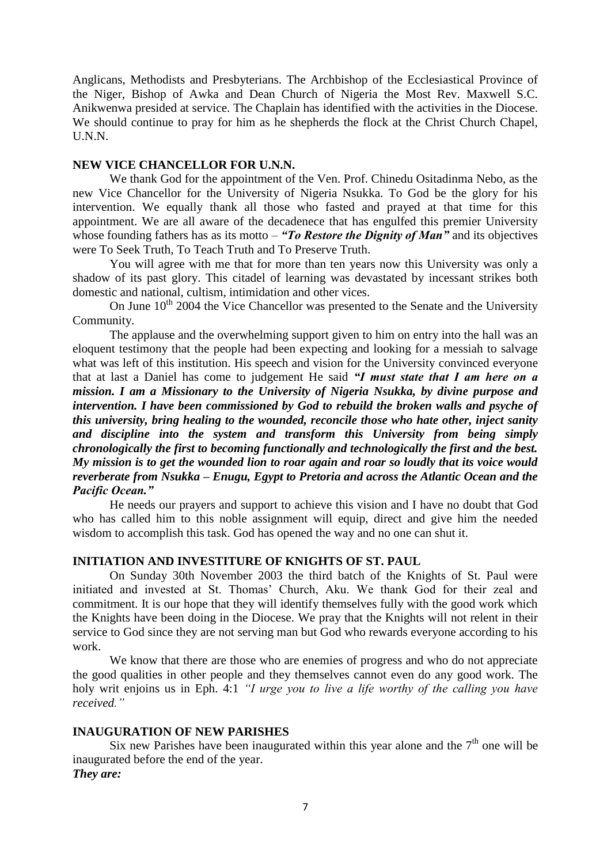Anglicans, Methodists and Presbyterians. The Archbishop of the Ecclesiastical Province of the Niger, Bishop of Awka and Dean Church of Nigeria the Most Rev. Maxwell S.C. Anikwenwa presided at service. The Chaplain has identified with the activities in the Diocese. We should continue to pray for him as he shepherds the flock at the Christ Church Chapel, U.N.N.

## **NEW VICE CHANCELLOR FOR U.N.N.**

We thank God for the appointment of the Ven. Prof. Chinedu Ositadinma Nebo, as the new Vice Chancellor for the University of Nigeria Nsukka. To God be the glory for his intervention. We equally thank all those who fasted and prayed at that time for this appointment. We are all aware of the decadenece that has engulfed this premier University whose founding fathers has as its motto – "To Restore the Dignity of Man" and its objectives were To Seek Truth, To Teach Truth and To Preserve Truth.

You will agree with me that for more than ten years now this University was only a shadow of its past glory. This citadel of learning was devastated by incessant strikes both domestic and national, cultism, intimidation and other vices.

On June  $10^{th}$  2004 the Vice Chancellor was presented to the Senate and the University Community.

The applause and the overwhelming support given to him on entry into the hall was an eloquent testimony that the people had been expecting and looking for a messiah to salvage what was left of this institution. His speech and vision for the University convinced everyone that at last a Daniel has come to judgement He said *"I must state that I am here on a mission. I am a Missionary to the University of Nigeria Nsukka, by divine purpose and intervention. I have been commissioned by God to rebuild the broken walls and psyche of this university, bring healing to the wounded, reconcile those who hate other, inject sanity and discipline into the system and transform this University from being simply chronologically the first to becoming functionally and technologically the first and the best. My mission is to get the wounded lion to roar again and roar so loudly that its voice would reverberate from Nsukka – Enugu, Egypt to Pretoria and across the Atlantic Ocean and the Pacific Ocean."*

He needs our prayers and support to achieve this vision and I have no doubt that God who has called him to this noble assignment will equip, direct and give him the needed wisdom to accomplish this task. God has opened the way and no one can shut it.

## **INITIATION AND INVESTITURE OF KNIGHTS OF ST. PAUL**

On Sunday 30th November 2003 the third batch of the Knights of St. Paul were initiated and invested at St. Thomas' Church, Aku. We thank God for their zeal and commitment. It is our hope that they will identify themselves fully with the good work which the Knights have been doing in the Diocese. We pray that the Knights will not relent in their service to God since they are not serving man but God who rewards everyone according to his work.

We know that there are those who are enemies of progress and who do not appreciate the good qualities in other people and they themselves cannot even do any good work. The holy writ enjoins us in Eph. 4:1 *"I urge you to live a life worthy of the calling you have received."*

#### **INAUGURATION OF NEW PARISHES**

Six new Parishes have been inaugurated within this year alone and the  $7<sup>th</sup>$  one will be inaugurated before the end of the year. *They are:*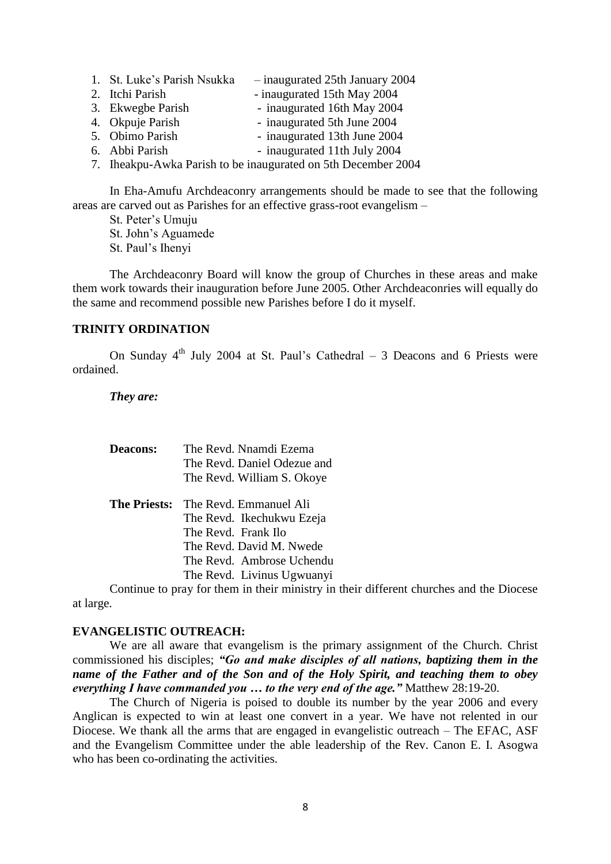- 1. St. Luke"s Parish Nsukka inaugurated 25th January 2004
- 2. Itchi Parish inaugurated 15th May 2004
- 3. Ekwegbe Parish inaugurated 16th May 2004
- 4. Okpuje Parish inaugurated 5th June 2004
- 5. Obimo Parish inaugurated 13th June 2004
- 6. Abbi Parish inaugurated 11th July 2004
- 7. Iheakpu-Awka Parish to be inaugurated on 5th December 2004

In Eha-Amufu Archdeaconry arrangements should be made to see that the following areas are carved out as Parishes for an effective grass-root evangelism –

St. Peter"s Umuju

St. John"s Aguamede

St. Paul"s Ihenyi

The Archdeaconry Board will know the group of Churches in these areas and make them work towards their inauguration before June 2005. Other Archdeaconries will equally do the same and recommend possible new Parishes before I do it myself.

## **TRINITY ORDINATION**

On Sunday  $4<sup>th</sup>$  July 2004 at St. Paul's Cathedral – 3 Deacons and 6 Priests were ordained.

#### *They are:*

| <b>Deacons:</b>     | The Revd. Nnamdi Ezema      |
|---------------------|-----------------------------|
|                     | The Revd. Daniel Odezue and |
|                     | The Revd. William S. Okoye  |
| <b>The Priests:</b> | The Revd. Emmanuel Ali      |
|                     | The Revd. Ikechukwu Ezeja   |
|                     | The Revd. Frank Ilo         |
|                     | The Revd. David M. Nwede    |
|                     | The Revd. Ambrose Uchendu   |
|                     | The Revd. Livinus Ugwuanyi  |

Continue to pray for them in their ministry in their different churches and the Diocese at large.

#### **EVANGELISTIC OUTREACH:**

We are all aware that evangelism is the primary assignment of the Church. Christ commissioned his disciples; *"Go and make disciples of all nations, baptizing them in the name of the Father and of the Son and of the Holy Spirit, and teaching them to obey everything I have commanded you … to the very end of the age."* Matthew 28:19-20.

The Church of Nigeria is poised to double its number by the year 2006 and every Anglican is expected to win at least one convert in a year. We have not relented in our Diocese. We thank all the arms that are engaged in evangelistic outreach – The EFAC, ASF and the Evangelism Committee under the able leadership of the Rev. Canon E. I. Asogwa who has been co-ordinating the activities.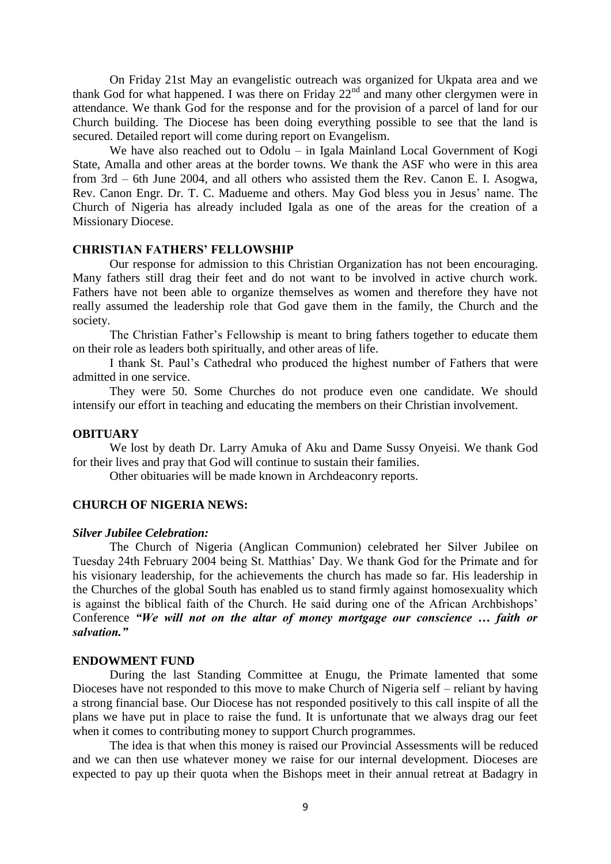On Friday 21st May an evangelistic outreach was organized for Ukpata area and we thank God for what happened. I was there on Friday  $22<sup>nd</sup>$  and many other clergymen were in attendance. We thank God for the response and for the provision of a parcel of land for our Church building. The Diocese has been doing everything possible to see that the land is secured. Detailed report will come during report on Evangelism.

We have also reached out to Odolu – in Igala Mainland Local Government of Kogi State, Amalla and other areas at the border towns. We thank the ASF who were in this area from 3rd – 6th June 2004, and all others who assisted them the Rev. Canon E. I. Asogwa, Rev. Canon Engr. Dr. T. C. Madueme and others. May God bless you in Jesus' name. The Church of Nigeria has already included Igala as one of the areas for the creation of a Missionary Diocese.

## **CHRISTIAN FATHERS' FELLOWSHIP**

Our response for admission to this Christian Organization has not been encouraging. Many fathers still drag their feet and do not want to be involved in active church work. Fathers have not been able to organize themselves as women and therefore they have not really assumed the leadership role that God gave them in the family, the Church and the society.

The Christian Father"s Fellowship is meant to bring fathers together to educate them on their role as leaders both spiritually, and other areas of life.

I thank St. Paul"s Cathedral who produced the highest number of Fathers that were admitted in one service.

They were 50. Some Churches do not produce even one candidate. We should intensify our effort in teaching and educating the members on their Christian involvement.

#### **OBITUARY**

We lost by death Dr. Larry Amuka of Aku and Dame Sussy Onyeisi. We thank God for their lives and pray that God will continue to sustain their families.

Other obituaries will be made known in Archdeaconry reports.

## **CHURCH OF NIGERIA NEWS:**

#### *Silver Jubilee Celebration:*

The Church of Nigeria (Anglican Communion) celebrated her Silver Jubilee on Tuesday 24th February 2004 being St. Matthias" Day. We thank God for the Primate and for his visionary leadership, for the achievements the church has made so far. His leadership in the Churches of the global South has enabled us to stand firmly against homosexuality which is against the biblical faith of the Church. He said during one of the African Archbishops' Conference *"We will not on the altar of money mortgage our conscience … faith or salvation."*

#### **ENDOWMENT FUND**

During the last Standing Committee at Enugu, the Primate lamented that some Dioceses have not responded to this move to make Church of Nigeria self – reliant by having a strong financial base. Our Diocese has not responded positively to this call inspite of all the plans we have put in place to raise the fund. It is unfortunate that we always drag our feet when it comes to contributing money to support Church programmes.

The idea is that when this money is raised our Provincial Assessments will be reduced and we can then use whatever money we raise for our internal development. Dioceses are expected to pay up their quota when the Bishops meet in their annual retreat at Badagry in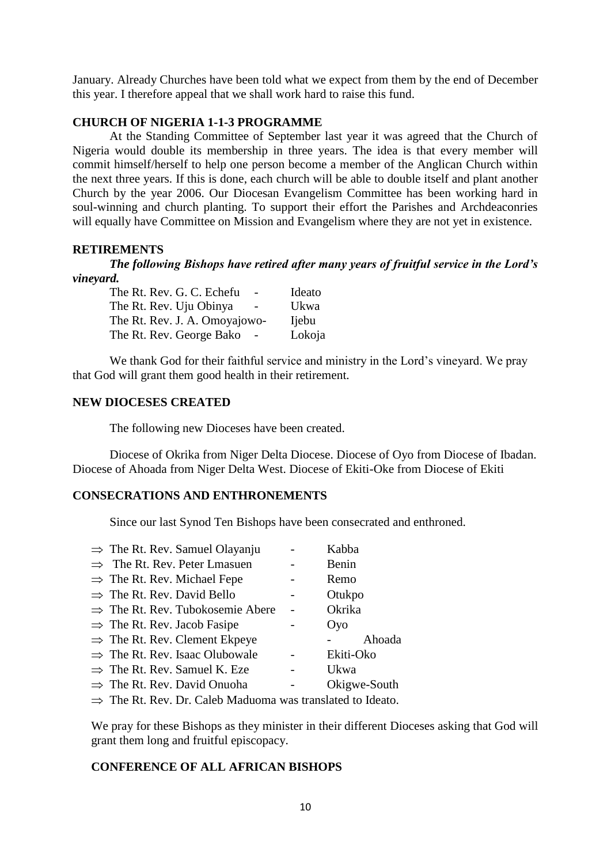January. Already Churches have been told what we expect from them by the end of December this year. I therefore appeal that we shall work hard to raise this fund.

# **CHURCH OF NIGERIA 1-1-3 PROGRAMME**

At the Standing Committee of September last year it was agreed that the Church of Nigeria would double its membership in three years. The idea is that every member will commit himself/herself to help one person become a member of the Anglican Church within the next three years. If this is done, each church will be able to double itself and plant another Church by the year 2006. Our Diocesan Evangelism Committee has been working hard in soul-winning and church planting. To support their effort the Parishes and Archdeaconries will equally have Committee on Mission and Evangelism where they are not yet in existence.

# **RETIREMENTS**

*The following Bishops have retired after many years of fruitful service in the Lord's vineyard.*

| The Rt. Rev. G. C. Echefu     | Ideato        |
|-------------------------------|---------------|
| The Rt. Rev. Uju Obinya       | Ukwa          |
| The Rt. Rev. J. A. Omoyajowo- | <b>I</b> jebu |
| The Rt. Rev. George Bako      | Lokoja        |
|                               |               |

We thank God for their faithful service and ministry in the Lord's vineyard. We pray that God will grant them good health in their retirement.

## **NEW DIOCESES CREATED**

The following new Dioceses have been created.

Diocese of Okrika from Niger Delta Diocese. Diocese of Oyo from Diocese of Ibadan. Diocese of Ahoada from Niger Delta West. Diocese of Ekiti-Oke from Diocese of Ekiti

# **CONSECRATIONS AND ENTHRONEMENTS**

Since our last Synod Ten Bishops have been consecrated and enthroned.

| $\Rightarrow$ The Rt. Rev. Samuel Olayanju   | Kabba        |
|----------------------------------------------|--------------|
| $\Rightarrow$ The Rt. Rev. Peter Lmasuen     | Benin        |
| $\Rightarrow$ The Rt. Rev. Michael Fepe      | Remo         |
| $\Rightarrow$ The Rt. Rev. David Bello       | Otukpo       |
| $\Rightarrow$ The Rt. Rev. Tubokosemie Abere | Okrika       |
| $\Rightarrow$ The Rt. Rev. Jacob Fasipe      | Oyo          |
| $\Rightarrow$ The Rt. Rev. Clement Ekpeye    | Ahoada       |
| $\Rightarrow$ The Rt. Rev. Isaac Olubowale   | Ekiti-Oko    |
| $\Rightarrow$ The Rt. Rev. Samuel K. Eze     | Ukwa         |
| $\Rightarrow$ The Rt. Rev. David Onuoha      | Okigwe-South |
| $T1$ $T1$ $T1$ $T1$ $T1$ $T1$ $T1$           |              |

 $\Rightarrow$  The Rt. Rev. Dr. Caleb Maduoma was translated to Ideato.

We pray for these Bishops as they minister in their different Dioceses asking that God will grant them long and fruitful episcopacy.

# **CONFERENCE OF ALL AFRICAN BISHOPS**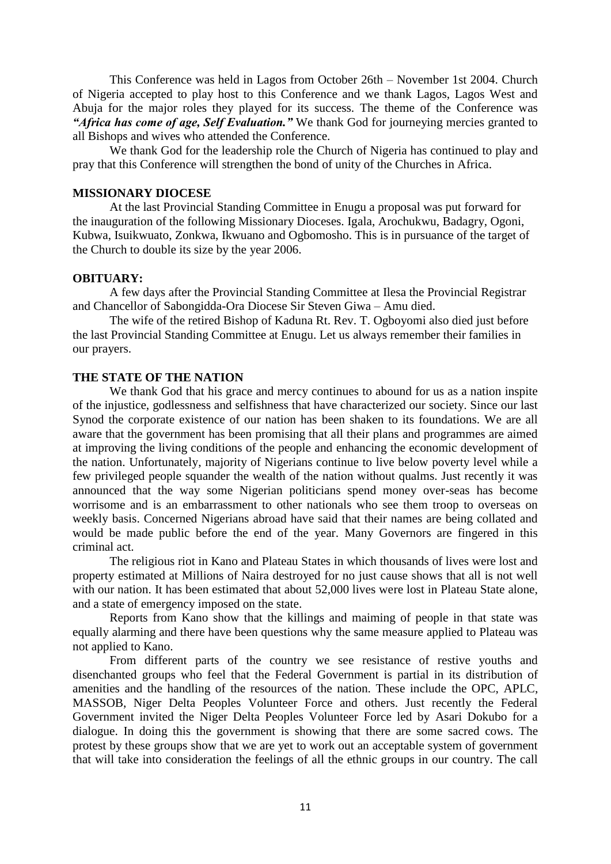This Conference was held in Lagos from October 26th – November 1st 2004. Church of Nigeria accepted to play host to this Conference and we thank Lagos, Lagos West and Abuja for the major roles they played for its success. The theme of the Conference was *"Africa has come of age, Self Evaluation."* We thank God for journeying mercies granted to all Bishops and wives who attended the Conference.

We thank God for the leadership role the Church of Nigeria has continued to play and pray that this Conference will strengthen the bond of unity of the Churches in Africa.

#### **MISSIONARY DIOCESE**

At the last Provincial Standing Committee in Enugu a proposal was put forward for the inauguration of the following Missionary Dioceses. Igala, Arochukwu, Badagry, Ogoni, Kubwa, Isuikwuato, Zonkwa, Ikwuano and Ogbomosho. This is in pursuance of the target of the Church to double its size by the year 2006.

#### **OBITUARY:**

A few days after the Provincial Standing Committee at Ilesa the Provincial Registrar and Chancellor of Sabongidda-Ora Diocese Sir Steven Giwa – Amu died.

The wife of the retired Bishop of Kaduna Rt. Rev. T. Ogboyomi also died just before the last Provincial Standing Committee at Enugu. Let us always remember their families in our prayers.

## **THE STATE OF THE NATION**

We thank God that his grace and mercy continues to abound for us as a nation inspite of the injustice, godlessness and selfishness that have characterized our society. Since our last Synod the corporate existence of our nation has been shaken to its foundations. We are all aware that the government has been promising that all their plans and programmes are aimed at improving the living conditions of the people and enhancing the economic development of the nation. Unfortunately, majority of Nigerians continue to live below poverty level while a few privileged people squander the wealth of the nation without qualms. Just recently it was announced that the way some Nigerian politicians spend money over-seas has become worrisome and is an embarrassment to other nationals who see them troop to overseas on weekly basis. Concerned Nigerians abroad have said that their names are being collated and would be made public before the end of the year. Many Governors are fingered in this criminal act.

The religious riot in Kano and Plateau States in which thousands of lives were lost and property estimated at Millions of Naira destroyed for no just cause shows that all is not well with our nation. It has been estimated that about 52,000 lives were lost in Plateau State alone, and a state of emergency imposed on the state.

Reports from Kano show that the killings and maiming of people in that state was equally alarming and there have been questions why the same measure applied to Plateau was not applied to Kano.

From different parts of the country we see resistance of restive youths and disenchanted groups who feel that the Federal Government is partial in its distribution of amenities and the handling of the resources of the nation. These include the OPC, APLC, MASSOB, Niger Delta Peoples Volunteer Force and others. Just recently the Federal Government invited the Niger Delta Peoples Volunteer Force led by Asari Dokubo for a dialogue. In doing this the government is showing that there are some sacred cows. The protest by these groups show that we are yet to work out an acceptable system of government that will take into consideration the feelings of all the ethnic groups in our country. The call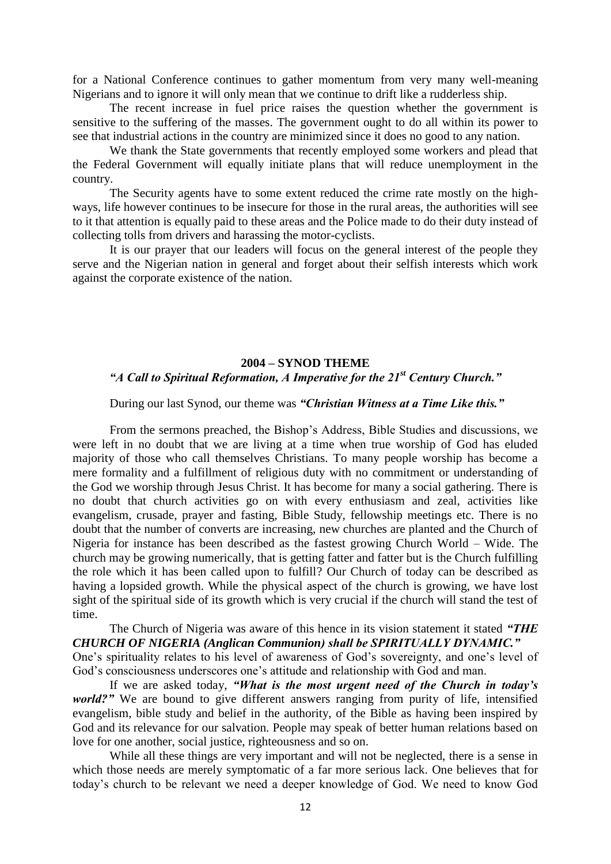for a National Conference continues to gather momentum from very many well-meaning Nigerians and to ignore it will only mean that we continue to drift like a rudderless ship.

The recent increase in fuel price raises the question whether the government is sensitive to the suffering of the masses. The government ought to do all within its power to see that industrial actions in the country are minimized since it does no good to any nation.

We thank the State governments that recently employed some workers and plead that the Federal Government will equally initiate plans that will reduce unemployment in the country.

The Security agents have to some extent reduced the crime rate mostly on the highways, life however continues to be insecure for those in the rural areas, the authorities will see to it that attention is equally paid to these areas and the Police made to do their duty instead of collecting tolls from drivers and harassing the motor-cyclists.

It is our prayer that our leaders will focus on the general interest of the people they serve and the Nigerian nation in general and forget about their selfish interests which work against the corporate existence of the nation.

#### **2004 – SYNOD THEME**

# *"A Call to Spiritual Reformation, A Imperative for the 21st Century Church."*

During our last Synod, our theme was *"Christian Witness at a Time Like this."*

From the sermons preached, the Bishop"s Address, Bible Studies and discussions, we were left in no doubt that we are living at a time when true worship of God has eluded majority of those who call themselves Christians. To many people worship has become a mere formality and a fulfillment of religious duty with no commitment or understanding of the God we worship through Jesus Christ. It has become for many a social gathering. There is no doubt that church activities go on with every enthusiasm and zeal, activities like evangelism, crusade, prayer and fasting, Bible Study, fellowship meetings etc. There is no doubt that the number of converts are increasing, new churches are planted and the Church of Nigeria for instance has been described as the fastest growing Church World – Wide. The church may be growing numerically, that is getting fatter and fatter but is the Church fulfilling the role which it has been called upon to fulfill? Our Church of today can be described as having a lopsided growth. While the physical aspect of the church is growing, we have lost sight of the spiritual side of its growth which is very crucial if the church will stand the test of time.

The Church of Nigeria was aware of this hence in its vision statement it stated *"THE CHURCH OF NIGERIA (Anglican Communion) shall be SPIRITUALLY DYNAMIC."*

One's spirituality relates to his level of awareness of God's sovereignty, and one's level of God"s consciousness underscores one"s attitude and relationship with God and man.

If we are asked today, *"What is the most urgent need of the Church in today's world?"* We are bound to give different answers ranging from purity of life, intensified evangelism, bible study and belief in the authority, of the Bible as having been inspired by God and its relevance for our salvation. People may speak of better human relations based on love for one another, social justice, righteousness and so on.

While all these things are very important and will not be neglected, there is a sense in which those needs are merely symptomatic of a far more serious lack. One believes that for today"s church to be relevant we need a deeper knowledge of God. We need to know God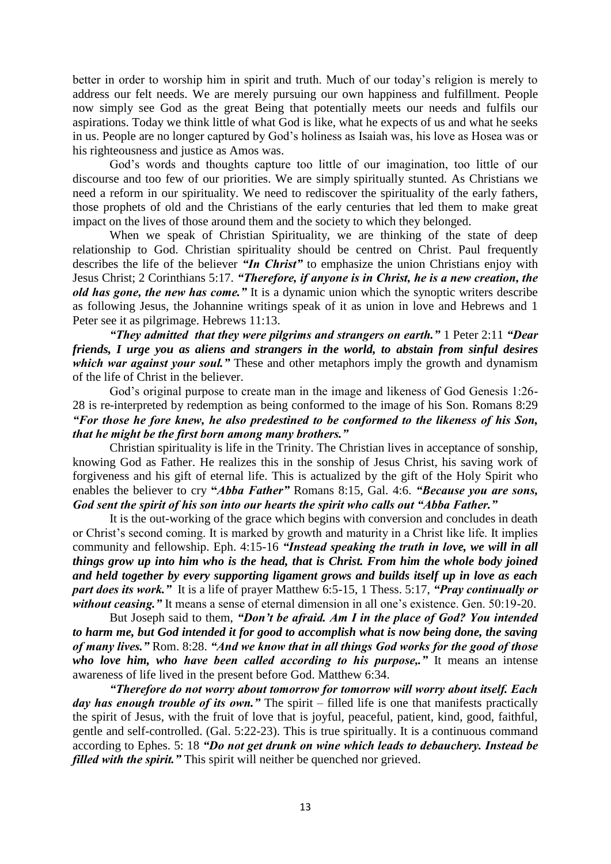better in order to worship him in spirit and truth. Much of our today"s religion is merely to address our felt needs. We are merely pursuing our own happiness and fulfillment. People now simply see God as the great Being that potentially meets our needs and fulfils our aspirations. Today we think little of what God is like, what he expects of us and what he seeks in us. People are no longer captured by God"s holiness as Isaiah was, his love as Hosea was or his righteousness and justice as Amos was.

God"s words and thoughts capture too little of our imagination, too little of our discourse and too few of our priorities. We are simply spiritually stunted. As Christians we need a reform in our spirituality. We need to rediscover the spirituality of the early fathers, those prophets of old and the Christians of the early centuries that led them to make great impact on the lives of those around them and the society to which they belonged.

When we speak of Christian Spirituality, we are thinking of the state of deep relationship to God. Christian spirituality should be centred on Christ. Paul frequently describes the life of the believer *"In Christ"* to emphasize the union Christians enjoy with Jesus Christ; 2 Corinthians 5:17. *"Therefore, if anyone is in Christ, he is a new creation, the old has gone, the new has come."* It is a dynamic union which the synoptic writers describe as following Jesus, the Johannine writings speak of it as union in love and Hebrews and 1 Peter see it as pilgrimage. Hebrews 11:13.

*"They admitted that they were pilgrims and strangers on earth."* 1 Peter 2:11 *"Dear friends, I urge you as aliens and strangers in the world, to abstain from sinful desires which war against your soul."* These and other metaphors imply the growth and dynamism of the life of Christ in the believer.

God"s original purpose to create man in the image and likeness of God Genesis 1:26- 28 is re-interpreted by redemption as being conformed to the image of his Son. Romans 8:29 *"For those he fore knew, he also predestined to be conformed to the likeness of his Son, that he might be the first born among many brothers."*

Christian spirituality is life in the Trinity. The Christian lives in acceptance of sonship, knowing God as Father. He realizes this in the sonship of Jesus Christ, his saving work of forgiveness and his gift of eternal life. This is actualized by the gift of the Holy Spirit who enables the believer to cry **"***Abba Father"* Romans 8:15, Gal. 4:6. *"Because you are sons, God sent the spirit of his son into our hearts the spirit who calls out "Abba Father."*

It is the out-working of the grace which begins with conversion and concludes in death or Christ's second coming. It is marked by growth and maturity in a Christ like life. It implies community and fellowship. Eph. 4:15-16 *"Instead speaking the truth in love, we will in all things grow up into him who is the head, that is Christ. From him the whole body joined and held together by every supporting ligament grows and builds itself up in love as each part does its work."* It is a life of prayer Matthew 6:5-15, 1 Thess. 5:17, *"Pray continually or without ceasing.*" It means a sense of eternal dimension in all one's existence. Gen. 50:19-20.

But Joseph said to them, *"Don't be afraid. Am I in the place of God? You intended to harm me, but God intended it for good to accomplish what is now being done, the saving of many lives."* Rom. 8:28. *"And we know that in all things God works for the good of those who love him, who have been called according to his purpose,."* It means an intense awareness of life lived in the present before God. Matthew 6:34.

*"Therefore do not worry about tomorrow for tomorrow will worry about itself. Each day has enough trouble of its own.*" The spirit – filled life is one that manifests practically the spirit of Jesus, with the fruit of love that is joyful, peaceful, patient, kind, good, faithful, gentle and self-controlled. (Gal. 5:22-23). This is true spiritually. It is a continuous command according to Ephes. 5: 18 *"Do not get drunk on wine which leads to debauchery. Instead be filled with the spirit.*" This spirit will neither be quenched nor grieved.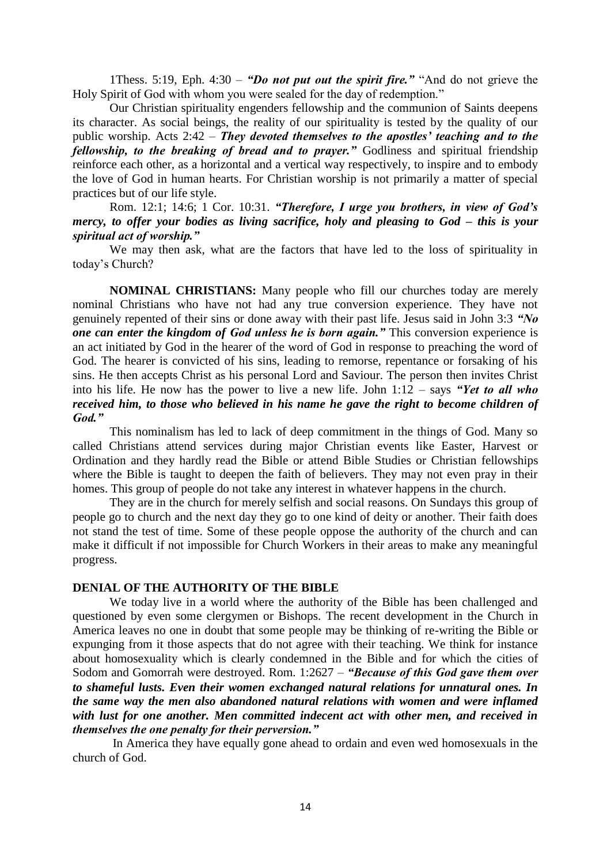1Thess. 5:19, Eph. 4:30 – *"Do not put out the spirit fire."* "And do not grieve the Holy Spirit of God with whom you were sealed for the day of redemption."

Our Christian spirituality engenders fellowship and the communion of Saints deepens its character. As social beings, the reality of our spirituality is tested by the quality of our public worship. Acts 2:42 – *They devoted themselves to the apostles' teaching and to the fellowship, to the breaking of bread and to prayer.*" Godliness and spiritual friendship reinforce each other, as a horizontal and a vertical way respectively, to inspire and to embody the love of God in human hearts. For Christian worship is not primarily a matter of special practices but of our life style.

Rom. 12:1; 14:6; 1 Cor. 10:31. *"Therefore, I urge you brothers, in view of God's mercy, to offer your bodies as living sacrifice, holy and pleasing to God – this is your spiritual act of worship."*

We may then ask, what are the factors that have led to the loss of spirituality in today"s Church?

**NOMINAL CHRISTIANS:** Many people who fill our churches today are merely nominal Christians who have not had any true conversion experience. They have not genuinely repented of their sins or done away with their past life. Jesus said in John 3:3 *"No one can enter the kingdom of God unless he is born again."* This conversion experience is an act initiated by God in the hearer of the word of God in response to preaching the word of God. The hearer is convicted of his sins, leading to remorse, repentance or forsaking of his sins. He then accepts Christ as his personal Lord and Saviour. The person then invites Christ into his life. He now has the power to live a new life. John 1:12 – says *"Yet to all who received him, to those who believed in his name he gave the right to become children of God."*

This nominalism has led to lack of deep commitment in the things of God. Many so called Christians attend services during major Christian events like Easter, Harvest or Ordination and they hardly read the Bible or attend Bible Studies or Christian fellowships where the Bible is taught to deepen the faith of believers. They may not even pray in their homes. This group of people do not take any interest in whatever happens in the church.

They are in the church for merely selfish and social reasons. On Sundays this group of people go to church and the next day they go to one kind of deity or another. Their faith does not stand the test of time. Some of these people oppose the authority of the church and can make it difficult if not impossible for Church Workers in their areas to make any meaningful progress.

#### **DENIAL OF THE AUTHORITY OF THE BIBLE**

We today live in a world where the authority of the Bible has been challenged and questioned by even some clergymen or Bishops. The recent development in the Church in America leaves no one in doubt that some people may be thinking of re-writing the Bible or expunging from it those aspects that do not agree with their teaching. We think for instance about homosexuality which is clearly condemned in the Bible and for which the cities of Sodom and Gomorrah were destroyed. Rom. 1:2627 – *"Because of this God gave them over to shameful lusts. Even their women exchanged natural relations for unnatural ones. In the same way the men also abandoned natural relations with women and were inflamed with lust for one another. Men committed indecent act with other men, and received in themselves the one penalty for their perversion."*

In America they have equally gone ahead to ordain and even wed homosexuals in the church of God.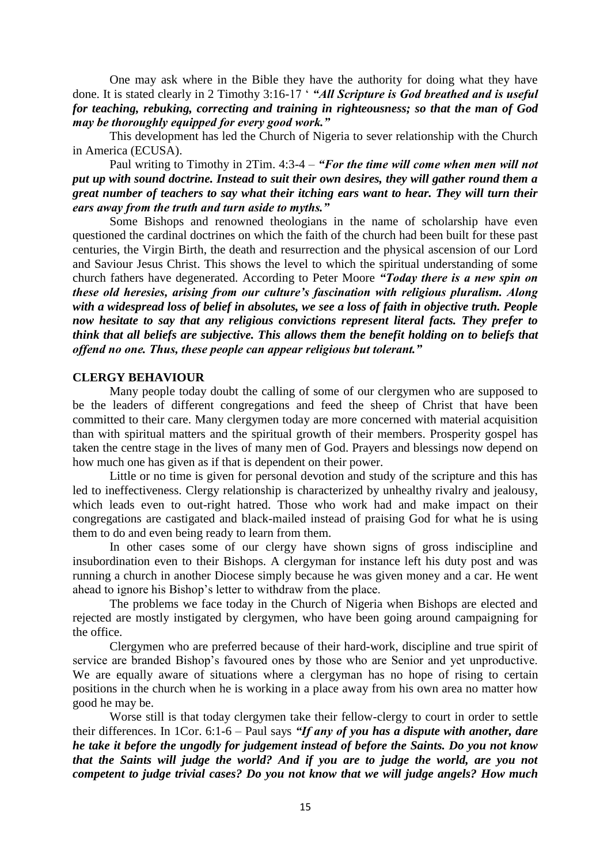One may ask where in the Bible they have the authority for doing what they have done. It is stated clearly in 2 Timothy 3:16-17 " *"All Scripture is God breathed and is useful for teaching, rebuking, correcting and training in righteousness; so that the man of God may be thoroughly equipped for every good work."*

This development has led the Church of Nigeria to sever relationship with the Church in America (ECUSA).

Paul writing to Timothy in 2Tim. 4:3-4 – *"For the time will come when men will not put up with sound doctrine. Instead to suit their own desires, they will gather round them a great number of teachers to say what their itching ears want to hear. They will turn their ears away from the truth and turn aside to myths."*

Some Bishops and renowned theologians in the name of scholarship have even questioned the cardinal doctrines on which the faith of the church had been built for these past centuries, the Virgin Birth, the death and resurrection and the physical ascension of our Lord and Saviour Jesus Christ. This shows the level to which the spiritual understanding of some church fathers have degenerated. According to Peter Moore *"Today there is a new spin on these old heresies, arising from our culture's fascination with religious pluralism. Along with a widespread loss of belief in absolutes, we see a loss of faith in objective truth. People now hesitate to say that any religious convictions represent literal facts. They prefer to think that all beliefs are subjective. This allows them the benefit holding on to beliefs that offend no one. Thus, these people can appear religious but tolerant."*

### **CLERGY BEHAVIOUR**

Many people today doubt the calling of some of our clergymen who are supposed to be the leaders of different congregations and feed the sheep of Christ that have been committed to their care. Many clergymen today are more concerned with material acquisition than with spiritual matters and the spiritual growth of their members. Prosperity gospel has taken the centre stage in the lives of many men of God. Prayers and blessings now depend on how much one has given as if that is dependent on their power.

Little or no time is given for personal devotion and study of the scripture and this has led to ineffectiveness. Clergy relationship is characterized by unhealthy rivalry and jealousy, which leads even to out-right hatred. Those who work had and make impact on their congregations are castigated and black-mailed instead of praising God for what he is using them to do and even being ready to learn from them.

In other cases some of our clergy have shown signs of gross indiscipline and insubordination even to their Bishops. A clergyman for instance left his duty post and was running a church in another Diocese simply because he was given money and a car. He went ahead to ignore his Bishop"s letter to withdraw from the place.

The problems we face today in the Church of Nigeria when Bishops are elected and rejected are mostly instigated by clergymen, who have been going around campaigning for the office.

Clergymen who are preferred because of their hard-work, discipline and true spirit of service are branded Bishop"s favoured ones by those who are Senior and yet unproductive. We are equally aware of situations where a clergyman has no hope of rising to certain positions in the church when he is working in a place away from his own area no matter how good he may be.

Worse still is that today clergymen take their fellow-clergy to court in order to settle their differences. In 1Cor. 6:1-6 – Paul says *"If any of you has a dispute with another, dare he take it before the ungodly for judgement instead of before the Saints. Do you not know that the Saints will judge the world? And if you are to judge the world, are you not competent to judge trivial cases? Do you not know that we will judge angels? How much*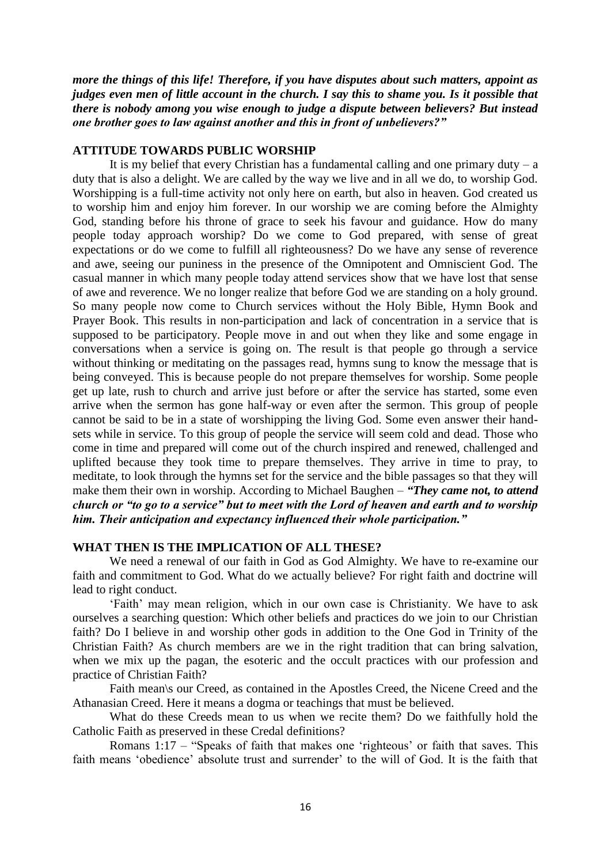*more the things of this life! Therefore, if you have disputes about such matters, appoint as judges even men of little account in the church. I say this to shame you. Is it possible that there is nobody among you wise enough to judge a dispute between believers? But instead one brother goes to law against another and this in front of unbelievers?"*

### **ATTITUDE TOWARDS PUBLIC WORSHIP**

It is my belief that every Christian has a fundamental calling and one primary duty  $- a$ duty that is also a delight. We are called by the way we live and in all we do, to worship God. Worshipping is a full-time activity not only here on earth, but also in heaven. God created us to worship him and enjoy him forever. In our worship we are coming before the Almighty God, standing before his throne of grace to seek his favour and guidance. How do many people today approach worship? Do we come to God prepared, with sense of great expectations or do we come to fulfill all righteousness? Do we have any sense of reverence and awe, seeing our puniness in the presence of the Omnipotent and Omniscient God. The casual manner in which many people today attend services show that we have lost that sense of awe and reverence. We no longer realize that before God we are standing on a holy ground. So many people now come to Church services without the Holy Bible, Hymn Book and Prayer Book. This results in non-participation and lack of concentration in a service that is supposed to be participatory. People move in and out when they like and some engage in conversations when a service is going on. The result is that people go through a service without thinking or meditating on the passages read, hymns sung to know the message that is being conveyed. This is because people do not prepare themselves for worship. Some people get up late, rush to church and arrive just before or after the service has started, some even arrive when the sermon has gone half-way or even after the sermon. This group of people cannot be said to be in a state of worshipping the living God. Some even answer their handsets while in service. To this group of people the service will seem cold and dead. Those who come in time and prepared will come out of the church inspired and renewed, challenged and uplifted because they took time to prepare themselves. They arrive in time to pray, to meditate, to look through the hymns set for the service and the bible passages so that they will make them their own in worship. According to Michael Baughen – *"They came not, to attend church or "to go to a service" but to meet with the Lord of heaven and earth and to worship him. Their anticipation and expectancy influenced their whole participation."*

# **WHAT THEN IS THE IMPLICATION OF ALL THESE?**

We need a renewal of our faith in God as God Almighty. We have to re-examine our faith and commitment to God. What do we actually believe? For right faith and doctrine will lead to right conduct.

"Faith" may mean religion, which in our own case is Christianity. We have to ask ourselves a searching question: Which other beliefs and practices do we join to our Christian faith? Do I believe in and worship other gods in addition to the One God in Trinity of the Christian Faith? As church members are we in the right tradition that can bring salvation, when we mix up the pagan, the esoteric and the occult practices with our profession and practice of Christian Faith?

Faith mean\s our Creed, as contained in the Apostles Creed, the Nicene Creed and the Athanasian Creed. Here it means a dogma or teachings that must be believed.

What do these Creeds mean to us when we recite them? Do we faithfully hold the Catholic Faith as preserved in these Credal definitions?

Romans 1:17 – "Speaks of faith that makes one "righteous" or faith that saves. This faith means 'obedience' absolute trust and surrender' to the will of God. It is the faith that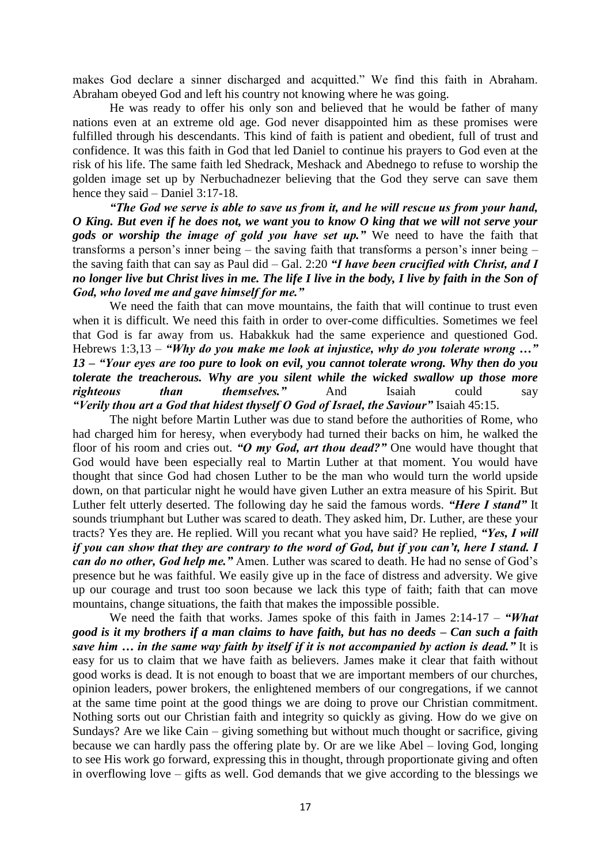makes God declare a sinner discharged and acquitted." We find this faith in Abraham. Abraham obeyed God and left his country not knowing where he was going.

He was ready to offer his only son and believed that he would be father of many nations even at an extreme old age. God never disappointed him as these promises were fulfilled through his descendants. This kind of faith is patient and obedient, full of trust and confidence. It was this faith in God that led Daniel to continue his prayers to God even at the risk of his life. The same faith led Shedrack, Meshack and Abednego to refuse to worship the golden image set up by Nerbuchadnezer believing that the God they serve can save them hence they said – Daniel 3:17-18.

*"The God we serve is able to save us from it, and he will rescue us from your hand, O King. But even if he does not, we want you to know O king that we will not serve your gods or worship the image of gold you have set up."* We need to have the faith that transforms a person's inner being – the saving faith that transforms a person's inner being – the saving faith that can say as Paul did – Gal. 2:20 *"I have been crucified with Christ, and I no longer live but Christ lives in me. The life I live in the body, I live by faith in the Son of God, who loved me and gave himself for me."* 

We need the faith that can move mountains, the faith that will continue to trust even when it is difficult. We need this faith in order to over-come difficulties. Sometimes we feel that God is far away from us. Habakkuk had the same experience and questioned God. Hebrews 1:3,13 – *"Why do you make me look at injustice, why do you tolerate wrong …" 13 – "Your eyes are too pure to look on evil, you cannot tolerate wrong. Why then do you tolerate the treacherous. Why are you silent while the wicked swallow up those more righteous than themselves."* And Isaiah could say *"Verily thou art a God that hidest thyself O God of Israel, the Saviour"* Isaiah 45:15.

The night before Martin Luther was due to stand before the authorities of Rome, who had charged him for heresy, when everybody had turned their backs on him, he walked the floor of his room and cries out. *"O my God, art thou dead?"* One would have thought that God would have been especially real to Martin Luther at that moment. You would have thought that since God had chosen Luther to be the man who would turn the world upside down, on that particular night he would have given Luther an extra measure of his Spirit. But Luther felt utterly deserted. The following day he said the famous words. *"Here I stand"* It sounds triumphant but Luther was scared to death. They asked him, Dr. Luther, are these your tracts? Yes they are. He replied. Will you recant what you have said? He replied, *"Yes, I will if you can show that they are contrary to the word of God, but if you can't, here I stand. I can do no other, God help me."* Amen. Luther was scared to death. He had no sense of God"s presence but he was faithful. We easily give up in the face of distress and adversity. We give up our courage and trust too soon because we lack this type of faith; faith that can move mountains, change situations, the faith that makes the impossible possible.

We need the faith that works. James spoke of this faith in James 2:14-17 – *"What good is it my brothers if a man claims to have faith, but has no deeds – Can such a faith save him … in the same way faith by itself if it is not accompanied by action is dead."* It is easy for us to claim that we have faith as believers. James make it clear that faith without good works is dead. It is not enough to boast that we are important members of our churches, opinion leaders, power brokers, the enlightened members of our congregations, if we cannot at the same time point at the good things we are doing to prove our Christian commitment. Nothing sorts out our Christian faith and integrity so quickly as giving. How do we give on Sundays? Are we like Cain – giving something but without much thought or sacrifice, giving because we can hardly pass the offering plate by. Or are we like Abel – loving God, longing to see His work go forward, expressing this in thought, through proportionate giving and often in overflowing love – gifts as well. God demands that we give according to the blessings we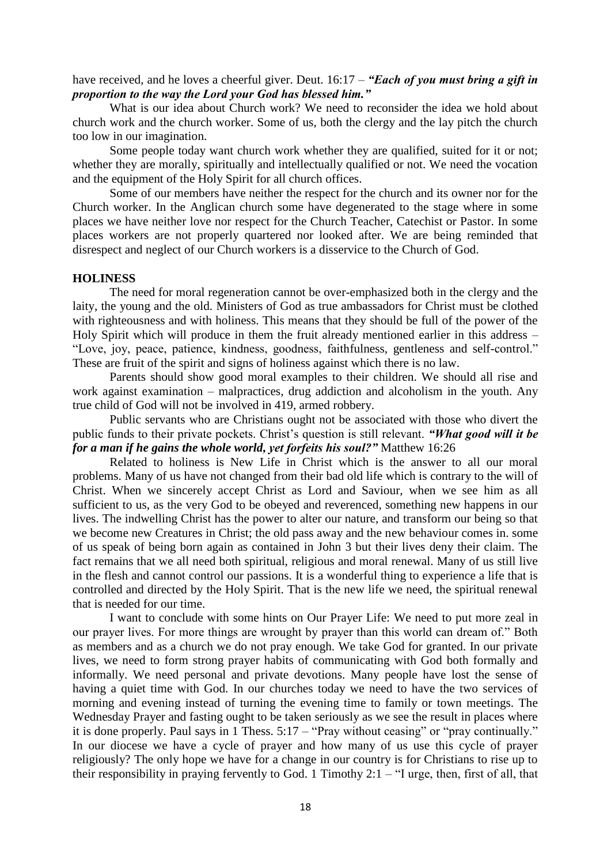have received, and he loves a cheerful giver. Deut. 16:17 – *"Each of you must bring a gift in proportion to the way the Lord your God has blessed him."*

What is our idea about Church work? We need to reconsider the idea we hold about church work and the church worker. Some of us, both the clergy and the lay pitch the church too low in our imagination.

Some people today want church work whether they are qualified, suited for it or not; whether they are morally, spiritually and intellectually qualified or not. We need the vocation and the equipment of the Holy Spirit for all church offices.

Some of our members have neither the respect for the church and its owner nor for the Church worker. In the Anglican church some have degenerated to the stage where in some places we have neither love nor respect for the Church Teacher, Catechist or Pastor. In some places workers are not properly quartered nor looked after. We are being reminded that disrespect and neglect of our Church workers is a disservice to the Church of God.

## **HOLINESS**

The need for moral regeneration cannot be over-emphasized both in the clergy and the laity, the young and the old. Ministers of God as true ambassadors for Christ must be clothed with righteousness and with holiness. This means that they should be full of the power of the Holy Spirit which will produce in them the fruit already mentioned earlier in this address – "Love, joy, peace, patience, kindness, goodness, faithfulness, gentleness and self-control." These are fruit of the spirit and signs of holiness against which there is no law.

Parents should show good moral examples to their children. We should all rise and work against examination – malpractices, drug addiction and alcoholism in the youth. Any true child of God will not be involved in 419, armed robbery.

Public servants who are Christians ought not be associated with those who divert the public funds to their private pockets. Christ"s question is still relevant. *"What good will it be for a man if he gains the whole world, yet forfeits his soul?"* Matthew 16:26

Related to holiness is New Life in Christ which is the answer to all our moral problems. Many of us have not changed from their bad old life which is contrary to the will of Christ. When we sincerely accept Christ as Lord and Saviour, when we see him as all sufficient to us, as the very God to be obeyed and reverenced, something new happens in our lives. The indwelling Christ has the power to alter our nature, and transform our being so that we become new Creatures in Christ; the old pass away and the new behaviour comes in. some of us speak of being born again as contained in John 3 but their lives deny their claim. The fact remains that we all need both spiritual, religious and moral renewal. Many of us still live in the flesh and cannot control our passions. It is a wonderful thing to experience a life that is controlled and directed by the Holy Spirit. That is the new life we need, the spiritual renewal that is needed for our time.

I want to conclude with some hints on Our Prayer Life: We need to put more zeal in our prayer lives. For more things are wrought by prayer than this world can dream of." Both as members and as a church we do not pray enough. We take God for granted. In our private lives, we need to form strong prayer habits of communicating with God both formally and informally. We need personal and private devotions. Many people have lost the sense of having a quiet time with God. In our churches today we need to have the two services of morning and evening instead of turning the evening time to family or town meetings. The Wednesday Prayer and fasting ought to be taken seriously as we see the result in places where it is done properly. Paul says in 1 Thess. 5:17 – "Pray without ceasing" or "pray continually." In our diocese we have a cycle of prayer and how many of us use this cycle of prayer religiously? The only hope we have for a change in our country is for Christians to rise up to their responsibility in praying fervently to God. 1 Timothy  $2:1 -$  "I urge, then, first of all, that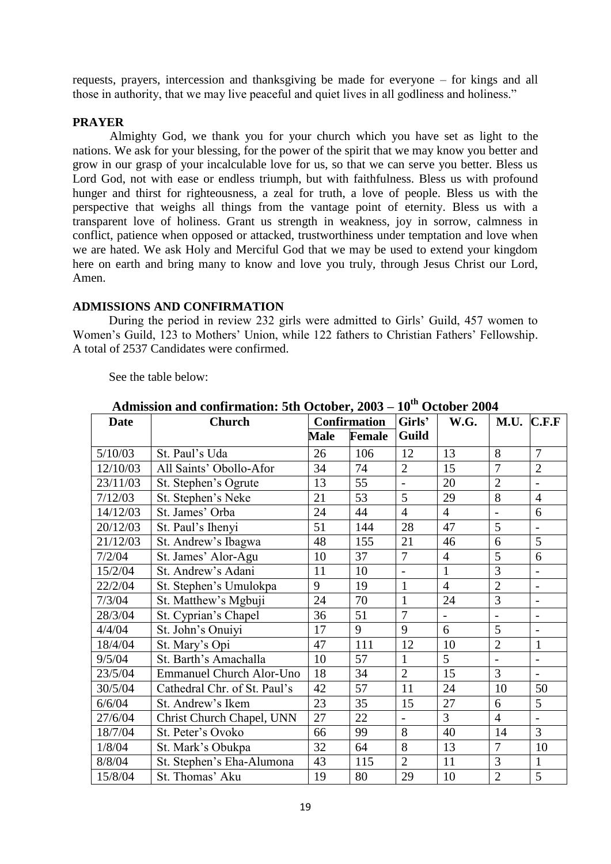requests, prayers, intercession and thanksgiving be made for everyone – for kings and all those in authority, that we may live peaceful and quiet lives in all godliness and holiness."

### **PRAYER**

Almighty God, we thank you for your church which you have set as light to the nations. We ask for your blessing, for the power of the spirit that we may know you better and grow in our grasp of your incalculable love for us, so that we can serve you better. Bless us Lord God, not with ease or endless triumph, but with faithfulness. Bless us with profound hunger and thirst for righteousness, a zeal for truth, a love of people. Bless us with the perspective that weighs all things from the vantage point of eternity. Bless us with a transparent love of holiness. Grant us strength in weakness, joy in sorrow, calmness in conflict, patience when opposed or attacked, trustworthiness under temptation and love when we are hated. We ask Holy and Merciful God that we may be used to extend your kingdom here on earth and bring many to know and love you truly, through Jesus Christ our Lord, Amen.

# **ADMISSIONS AND CONFIRMATION**

During the period in review 232 girls were admitted to Girls' Guild, 457 women to Women's Guild, 123 to Mothers' Union, while 122 fathers to Christian Fathers' Fellowship. A total of 2537 Candidates were confirmed.

See the table below:

| <b>Date</b> | <b>Church</b>                   | <b>Confirmation</b> |               | Girls'         | W.G.           | M.U.           | C.F.F                    |
|-------------|---------------------------------|---------------------|---------------|----------------|----------------|----------------|--------------------------|
|             |                                 | <b>Male</b>         | <b>Female</b> | Guild          |                |                |                          |
| 5/10/03     | St. Paul's Uda                  | 26                  | 106           | 12             | 13             | 8              | $\overline{7}$           |
| 12/10/03    | All Saints' Obollo-Afor         | 34                  | 74            | $\overline{2}$ | 15             | $\overline{7}$ | $\overline{2}$           |
| 23/11/03    | St. Stephen's Ogrute            | 13                  | 55            | $\blacksquare$ | 20             | $\overline{2}$ | $\overline{\phantom{a}}$ |
| 7/12/03     | St. Stephen's Neke              | 21                  | 53            | 5              | 29             | $\overline{8}$ | $\overline{4}$           |
| 14/12/03    | St. James' Orba                 | 24                  | 44            | $\overline{4}$ | $\overline{4}$ | $\overline{a}$ | 6                        |
| 20/12/03    | St. Paul's Ihenyi               | 51                  | 144           | 28             | 47             | 5              | $\overline{\phantom{0}}$ |
| 21/12/03    | St. Andrew's Ibagwa             | 48                  | 155           | 21             | 46             | 6              | 5                        |
| 7/2/04      | St. James' Alor-Agu             | 10                  | 37            | 7              | $\overline{4}$ | 5              | 6                        |
| 15/2/04     | St. Andrew's Adani              | 11                  | 10            | $\overline{a}$ | $\mathbf{1}$   | 3              | $\overline{\phantom{0}}$ |
| 22/2/04     | St. Stephen's Umulokpa          | 9                   | 19            | $\mathbf{1}$   | $\overline{4}$ | $\overline{2}$ | $\overline{\phantom{a}}$ |
| 7/3/04      | St. Matthew's Mgbuji            | 24                  | 70            | $\mathbf{1}$   | 24             | 3              | $\overline{\phantom{0}}$ |
| 28/3/04     | St. Cyprian's Chapel            | 36                  | 51            | $\overline{7}$ |                |                | $\overline{\phantom{a}}$ |
| 4/4/04      | St. John's Onuiyi               | 17                  | 9             | 9              | 6              | 5              | $\overline{a}$           |
| 18/4/04     | St. Mary's Opi                  | 47                  | 111           | 12             | 10             | $\overline{2}$ | $\mathbf{1}$             |
| 9/5/04      | St. Barth's Amachalla           | 10                  | 57            | $\mathbf{1}$   | 5              | $\overline{a}$ | $\overline{\phantom{0}}$ |
| 23/5/04     | <b>Emmanuel Church Alor-Uno</b> | 18                  | 34            | $\overline{2}$ | 15             | 3              | $\overline{a}$           |
| 30/5/04     | Cathedral Chr. of St. Paul's    | 42                  | 57            | 11             | 24             | 10             | 50                       |
| 6/6/04      | St. Andrew's Ikem               | 23                  | 35            | 15             | 27             | 6              | 5                        |
| 27/6/04     | Christ Church Chapel, UNN       | 27                  | 22            | $\blacksquare$ | $\overline{3}$ | $\overline{4}$ | $\overline{\phantom{a}}$ |
| 18/7/04     | St. Peter's Ovoko               | 66                  | 99            | 8              | 40             | 14             | 3                        |
| 1/8/04      | St. Mark's Obukpa               | 32                  | 64            | 8              | 13             | $\overline{7}$ | 10                       |
| 8/8/04      | St. Stephen's Eha-Alumona       | 43                  | 115           | $\overline{2}$ | 11             | 3              | $\mathbf{1}$             |
| 15/8/04     | St. Thomas' Aku                 | 19                  | 80            | 29             | 10             | $\overline{2}$ | 5                        |

**Admission and confirmation: 5th October, 2003 – 10th October 2004**